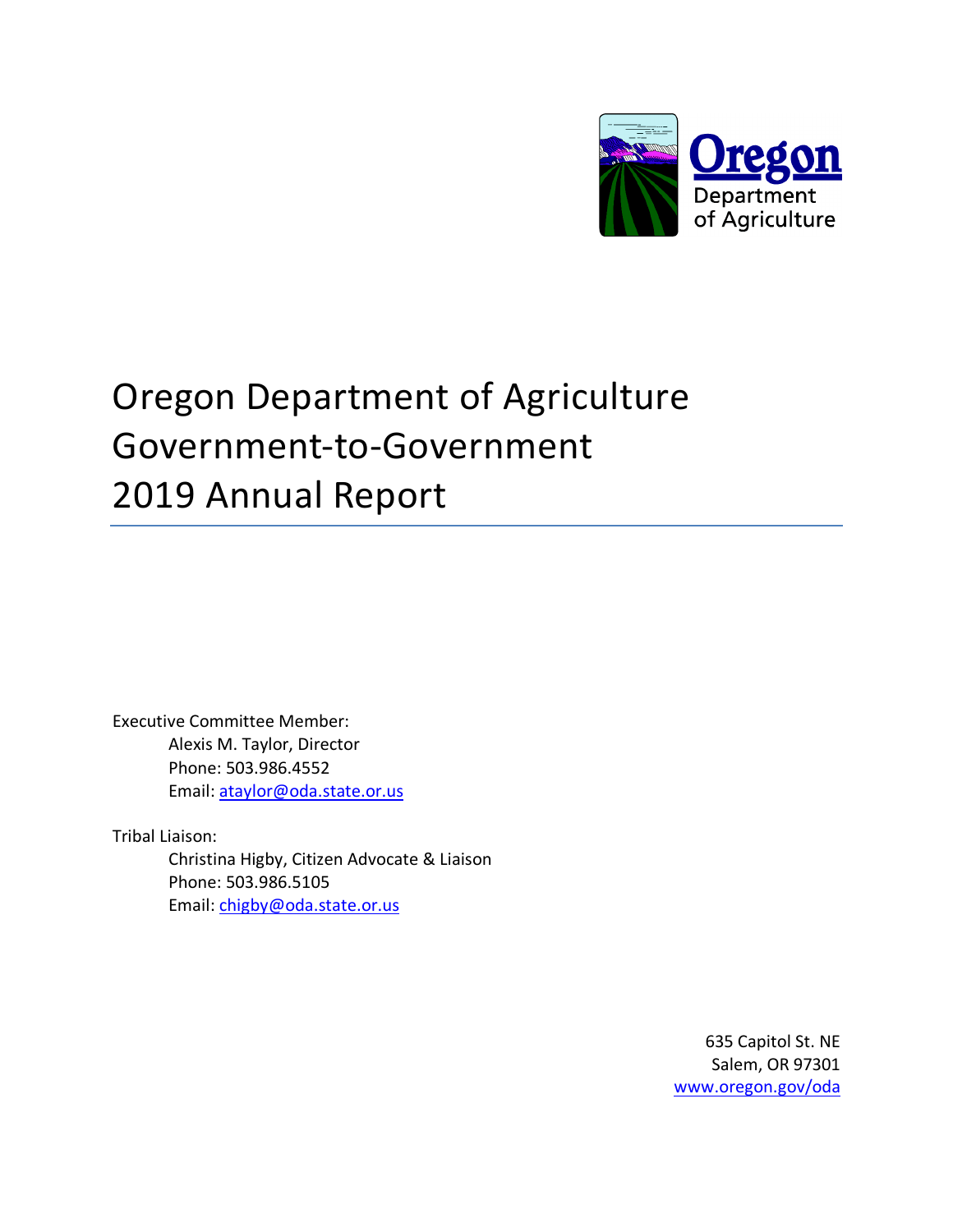

# Oregon Department of Agriculture Government-to-Government 2019 Annual Report

Executive Committee Member: Alexis M. Taylor, Director Phone: 503.986.4552 Email: ataylor@oda.state.or.us

Tribal Liaison:

Christina Higby, Citizen Advocate & Liaison Phone: 503.986.5105 Email: chigby@oda.state.or.us

> 635 Capitol St. NE Salem, OR 97301 www.oregon.gov/oda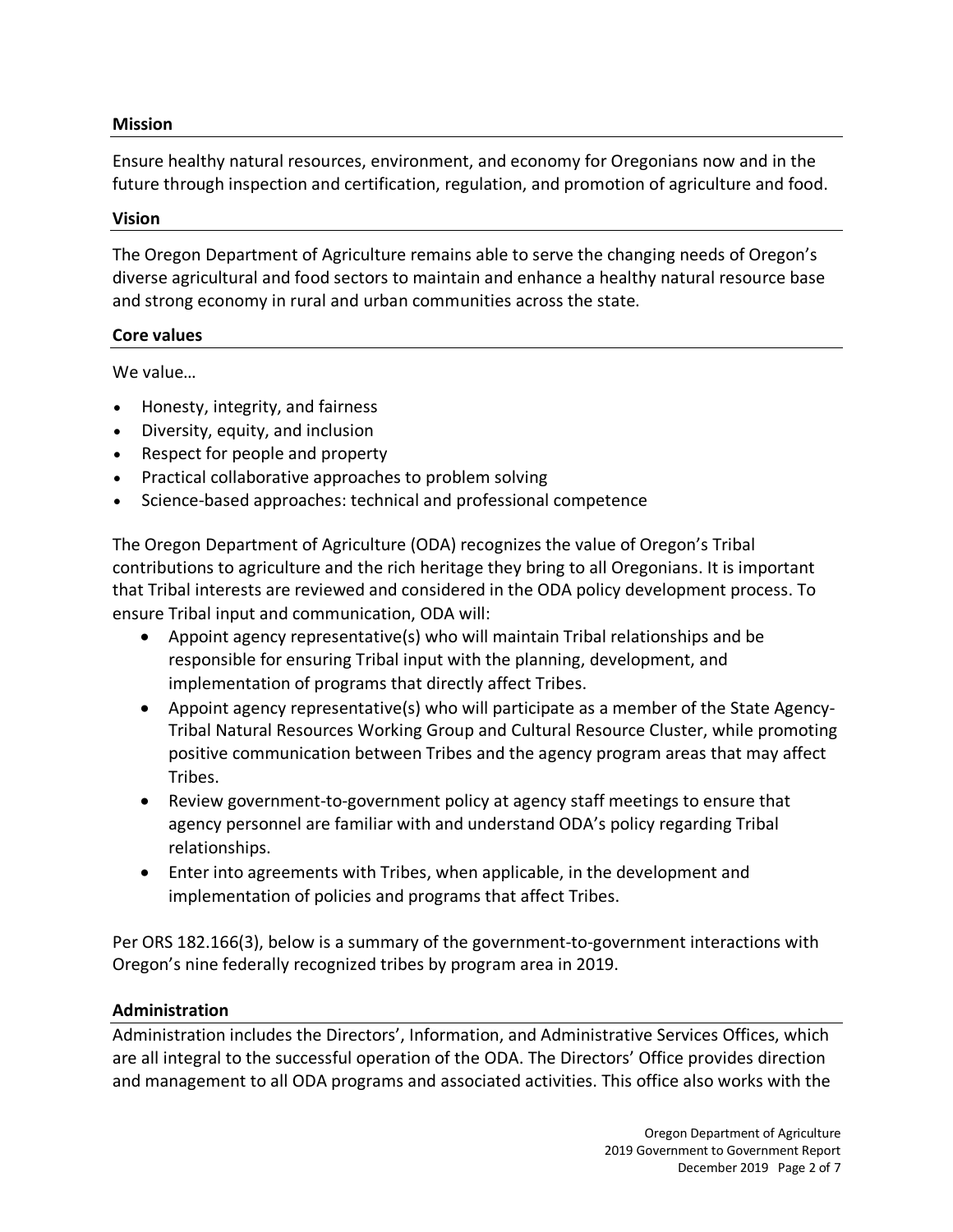#### **Mission**

Ensure healthy natural resources, environment, and economy for Oregonians now and in the future through inspection and certification, regulation, and promotion of agriculture and food.

#### **Vision**

The Oregon Department of Agriculture remains able to serve the changing needs of Oregon's diverse agricultural and food sectors to maintain and enhance a healthy natural resource base and strong economy in rural and urban communities across the state.

#### **Core values**

We value…

- Honesty, integrity, and fairness
- Diversity, equity, and inclusion
- Respect for people and property
- Practical collaborative approaches to problem solving
- Science-based approaches: technical and professional competence

The Oregon Department of Agriculture (ODA) recognizes the value of Oregon's Tribal contributions to agriculture and the rich heritage they bring to all Oregonians. It is important that Tribal interests are reviewed and considered in the ODA policy development process. To ensure Tribal input and communication, ODA will:

- Appoint agency representative(s) who will maintain Tribal relationships and be responsible for ensuring Tribal input with the planning, development, and implementation of programs that directly affect Tribes.
- Appoint agency representative(s) who will participate as a member of the State Agency-Tribal Natural Resources Working Group and Cultural Resource Cluster, while promoting positive communication between Tribes and the agency program areas that may affect Tribes.
- Review government-to-government policy at agency staff meetings to ensure that agency personnel are familiar with and understand ODA's policy regarding Tribal relationships.
- Enter into agreements with Tribes, when applicable, in the development and implementation of policies and programs that affect Tribes.

Per ORS 182.166(3), below is a summary of the government-to-government interactions with Oregon's nine federally recognized tribes by program area in 2019.

#### **Administration**

Administration includes the Directors', Information, and Administrative Services Offices, which are all integral to the successful operation of the ODA. The Directors' Office provides direction and management to all ODA programs and associated activities. This office also works with the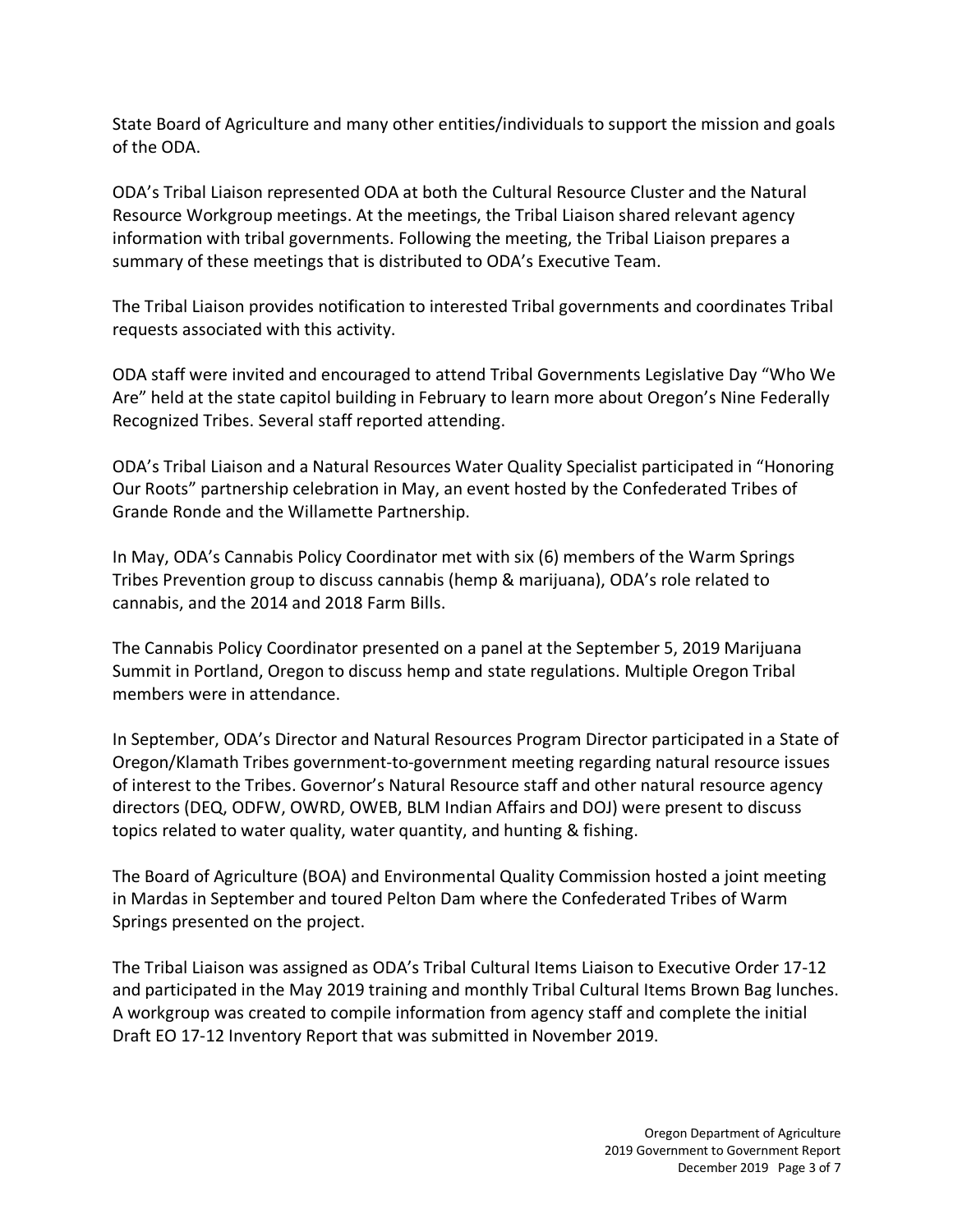State Board of Agriculture and many other entities/individuals to support the mission and goals of the ODA.

ODA's Tribal Liaison represented ODA at both the Cultural Resource Cluster and the Natural Resource Workgroup meetings. At the meetings, the Tribal Liaison shared relevant agency information with tribal governments. Following the meeting, the Tribal Liaison prepares a summary of these meetings that is distributed to ODA's Executive Team.

The Tribal Liaison provides notification to interested Tribal governments and coordinates Tribal requests associated with this activity.

ODA staff were invited and encouraged to attend Tribal Governments Legislative Day "Who We Are" held at the state capitol building in February to learn more about Oregon's Nine Federally Recognized Tribes. Several staff reported attending.

ODA's Tribal Liaison and a Natural Resources Water Quality Specialist participated in "Honoring Our Roots" partnership celebration in May, an event hosted by the Confederated Tribes of Grande Ronde and the Willamette Partnership.

In May, ODA's Cannabis Policy Coordinator met with six (6) members of the Warm Springs Tribes Prevention group to discuss cannabis (hemp & marijuana), ODA's role related to cannabis, and the 2014 and 2018 Farm Bills.

The Cannabis Policy Coordinator presented on a panel at the September 5, 2019 Marijuana Summit in Portland, Oregon to discuss hemp and state regulations. Multiple Oregon Tribal members were in attendance.

In September, ODA's Director and Natural Resources Program Director participated in a State of Oregon/Klamath Tribes government-to-government meeting regarding natural resource issues of interest to the Tribes. Governor's Natural Resource staff and other natural resource agency directors (DEQ, ODFW, OWRD, OWEB, BLM Indian Affairs and DOJ) were present to discuss topics related to water quality, water quantity, and hunting & fishing.

The Board of Agriculture (BOA) and Environmental Quality Commission hosted a joint meeting in Mardas in September and toured Pelton Dam where the Confederated Tribes of Warm Springs presented on the project.

The Tribal Liaison was assigned as ODA's Tribal Cultural Items Liaison to Executive Order 17-12 and participated in the May 2019 training and monthly Tribal Cultural Items Brown Bag lunches. A workgroup was created to compile information from agency staff and complete the initial Draft EO 17-12 Inventory Report that was submitted in November 2019.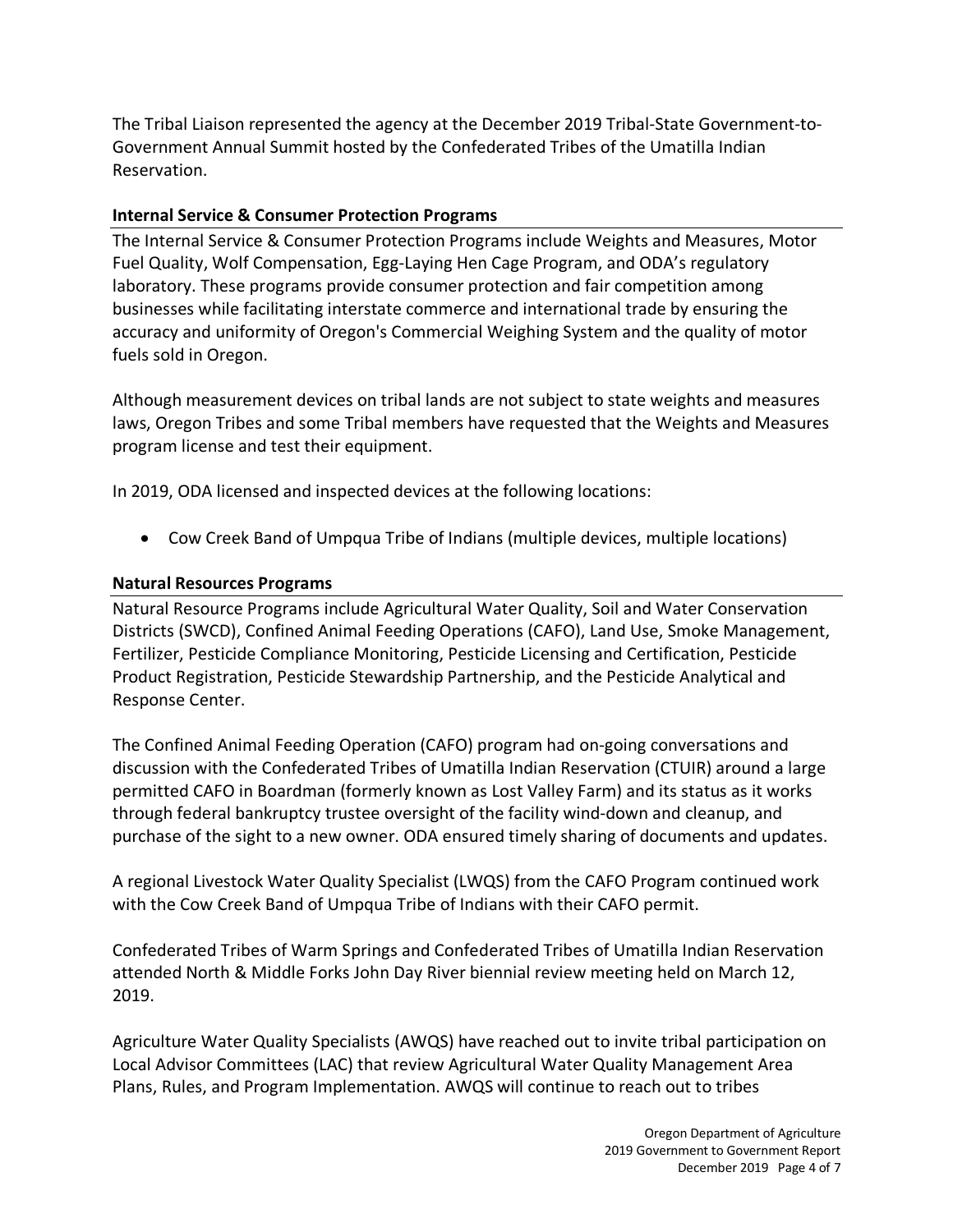The Tribal Liaison represented the agency at the December 2019 Tribal-State Government-to-Government Annual Summit hosted by the Confederated Tribes of the Umatilla Indian Reservation.

### **Internal Service & Consumer Protection Programs**

The Internal Service & Consumer Protection Programs include Weights and Measures, Motor Fuel Quality, Wolf Compensation, Egg-Laying Hen Cage Program, and ODA's regulatory laboratory. These programs provide consumer protection and fair competition among businesses while facilitating interstate commerce and international trade by ensuring the accuracy and uniformity of Oregon's Commercial Weighing System and the quality of motor fuels sold in Oregon.

Although measurement devices on tribal lands are not subject to state weights and measures laws, Oregon Tribes and some Tribal members have requested that the Weights and Measures program license and test their equipment.

In 2019, ODA licensed and inspected devices at the following locations:

• Cow Creek Band of Umpqua Tribe of Indians (multiple devices, multiple locations)

#### **Natural Resources Programs**

Natural Resource Programs include Agricultural Water Quality, Soil and Water Conservation Districts (SWCD), Confined Animal Feeding Operations (CAFO), Land Use, Smoke Management, Fertilizer, Pesticide Compliance Monitoring, Pesticide Licensing and Certification, Pesticide Product Registration, Pesticide Stewardship Partnership, and the Pesticide Analytical and Response Center.

The Confined Animal Feeding Operation (CAFO) program had on-going conversations and discussion with the Confederated Tribes of Umatilla Indian Reservation (CTUIR) around a large permitted CAFO in Boardman (formerly known as Lost Valley Farm) and its status as it works through federal bankruptcy trustee oversight of the facility wind-down and cleanup, and purchase of the sight to a new owner. ODA ensured timely sharing of documents and updates.

A regional Livestock Water Quality Specialist (LWQS) from the CAFO Program continued work with the Cow Creek Band of Umpqua Tribe of Indians with their CAFO permit.

Confederated Tribes of Warm Springs and Confederated Tribes of Umatilla Indian Reservation attended North & Middle Forks John Day River biennial review meeting held on March 12, 2019.

Agriculture Water Quality Specialists (AWQS) have reached out to invite tribal participation on Local Advisor Committees (LAC) that review Agricultural Water Quality Management Area Plans, Rules, and Program Implementation. AWQS will continue to reach out to tribes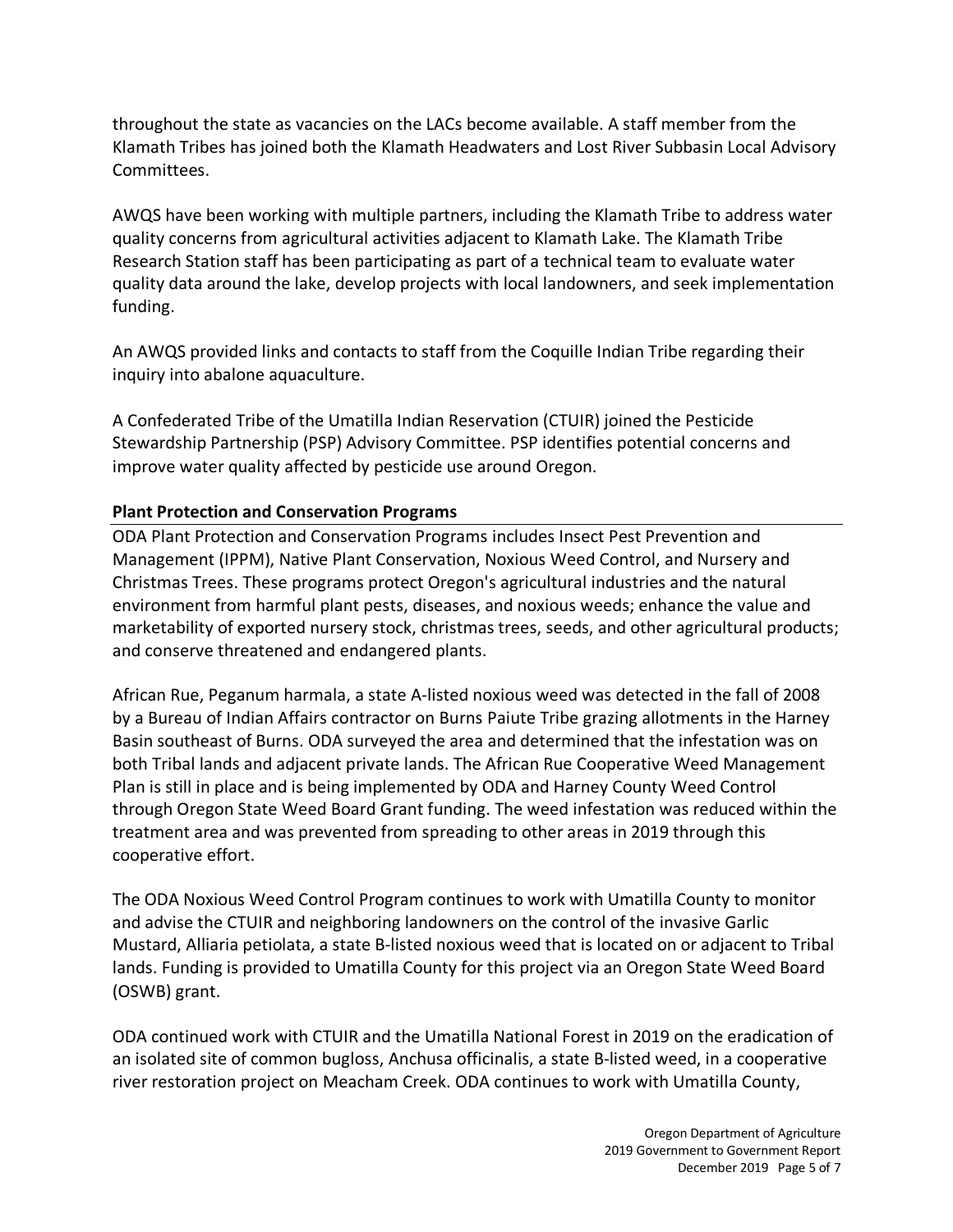throughout the state as vacancies on the LACs become available. A staff member from the Klamath Tribes has joined both the Klamath Headwaters and Lost River Subbasin Local Advisory Committees.

AWQS have been working with multiple partners, including the Klamath Tribe to address water quality concerns from agricultural activities adjacent to Klamath Lake. The Klamath Tribe Research Station staff has been participating as part of a technical team to evaluate water quality data around the lake, develop projects with local landowners, and seek implementation funding.

An AWQS provided links and contacts to staff from the Coquille Indian Tribe regarding their inquiry into abalone aquaculture.

A Confederated Tribe of the Umatilla Indian Reservation (CTUIR) joined the Pesticide Stewardship Partnership (PSP) Advisory Committee. PSP identifies potential concerns and improve water quality affected by pesticide use around Oregon.

# **Plant Protection and Conservation Programs**

ODA Plant Protection and Conservation Programs includes Insect Pest Prevention and Management (IPPM), Native Plant Conservation, Noxious Weed Control, and Nursery and Christmas Trees. These programs protect Oregon's agricultural industries and the natural environment from harmful plant pests, diseases, and noxious weeds; enhance the value and marketability of exported nursery stock, christmas trees, seeds, and other agricultural products; and conserve threatened and endangered plants.

African Rue, Peganum harmala, a state A-listed noxious weed was detected in the fall of 2008 by a Bureau of Indian Affairs contractor on Burns Paiute Tribe grazing allotments in the Harney Basin southeast of Burns. ODA surveyed the area and determined that the infestation was on both Tribal lands and adjacent private lands. The African Rue Cooperative Weed Management Plan is still in place and is being implemented by ODA and Harney County Weed Control through Oregon State Weed Board Grant funding. The weed infestation was reduced within the treatment area and was prevented from spreading to other areas in 2019 through this cooperative effort.

The ODA Noxious Weed Control Program continues to work with Umatilla County to monitor and advise the CTUIR and neighboring landowners on the control of the invasive Garlic Mustard, Alliaria petiolata, a state B-listed noxious weed that is located on or adjacent to Tribal lands. Funding is provided to Umatilla County for this project via an Oregon State Weed Board (OSWB) grant.

ODA continued work with CTUIR and the Umatilla National Forest in 2019 on the eradication of an isolated site of common bugloss, Anchusa officinalis, a state B-listed weed, in a cooperative river restoration project on Meacham Creek. ODA continues to work with Umatilla County,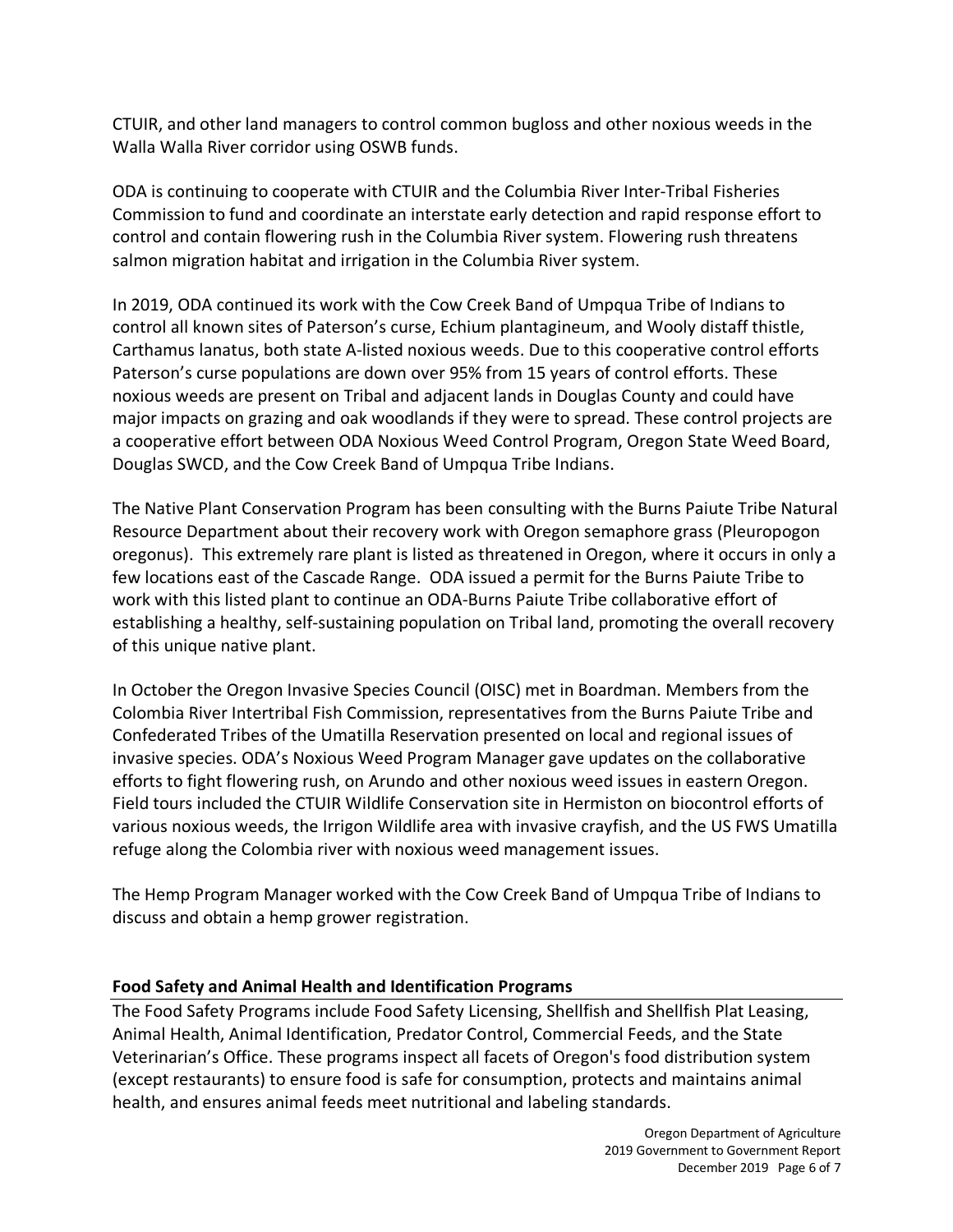CTUIR, and other land managers to control common bugloss and other noxious weeds in the Walla Walla River corridor using OSWB funds.

ODA is continuing to cooperate with CTUIR and the Columbia River Inter-Tribal Fisheries Commission to fund and coordinate an interstate early detection and rapid response effort to control and contain flowering rush in the Columbia River system. Flowering rush threatens salmon migration habitat and irrigation in the Columbia River system.

In 2019, ODA continued its work with the Cow Creek Band of Umpqua Tribe of Indians to control all known sites of Paterson's curse, Echium plantagineum, and Wooly distaff thistle, Carthamus lanatus, both state A-listed noxious weeds. Due to this cooperative control efforts Paterson's curse populations are down over 95% from 15 years of control efforts. These noxious weeds are present on Tribal and adjacent lands in Douglas County and could have major impacts on grazing and oak woodlands if they were to spread. These control projects are a cooperative effort between ODA Noxious Weed Control Program, Oregon State Weed Board, Douglas SWCD, and the Cow Creek Band of Umpqua Tribe Indians.

The Native Plant Conservation Program has been consulting with the Burns Paiute Tribe Natural Resource Department about their recovery work with Oregon semaphore grass (Pleuropogon oregonus). This extremely rare plant is listed as threatened in Oregon, where it occurs in only a few locations east of the Cascade Range. ODA issued a permit for the Burns Paiute Tribe to work with this listed plant to continue an ODA-Burns Paiute Tribe collaborative effort of establishing a healthy, self-sustaining population on Tribal land, promoting the overall recovery of this unique native plant.

In October the Oregon Invasive Species Council (OISC) met in Boardman. Members from the Colombia River Intertribal Fish Commission, representatives from the Burns Paiute Tribe and Confederated Tribes of the Umatilla Reservation presented on local and regional issues of invasive species. ODA's Noxious Weed Program Manager gave updates on the collaborative efforts to fight flowering rush, on Arundo and other noxious weed issues in eastern Oregon. Field tours included the CTUIR Wildlife Conservation site in Hermiston on biocontrol efforts of various noxious weeds, the Irrigon Wildlife area with invasive crayfish, and the US FWS Umatilla refuge along the Colombia river with noxious weed management issues.

The Hemp Program Manager worked with the Cow Creek Band of Umpqua Tribe of Indians to discuss and obtain a hemp grower registration.

# **Food Safety and Animal Health and Identification Programs**

The Food Safety Programs include Food Safety Licensing, Shellfish and Shellfish Plat Leasing, Animal Health, Animal Identification, Predator Control, Commercial Feeds, and the State Veterinarian's Office. These programs inspect all facets of Oregon's food distribution system (except restaurants) to ensure food is safe for consumption, protects and maintains animal health, and ensures animal feeds meet nutritional and labeling standards.